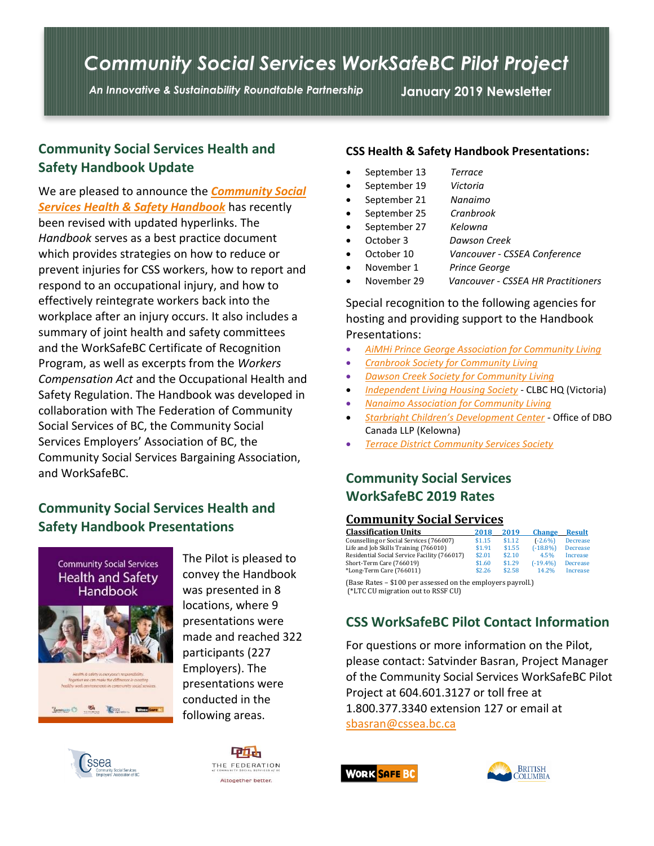# *Community Social Services WorkSafeBC Pilot Project*

*An Innovative & Sustainability Roundtable Partnership* **January 2019 Newsletter**

### **Community Social Services Health and Safety Handbook Update**

We are pleased to announce the *[Community Social](https://www.cssea.bc.ca/PDFs/WSBC/2018_HSS_Handbook.pdf) [Services Health & Safety Handbook](https://www.cssea.bc.ca/PDFs/WSBC/2018_HSS_Handbook.pdf)* has recently been revised with updated hyperlinks. The *Handbook* serves as a best practice document which provides strategies on how to reduce or prevent injuries for CSS workers, how to report and respond to an occupational injury, and how to effectively reintegrate workers back into the workplace after an injury occurs. It also includes a summary of joint health and safety committees and the WorkSafeBC Certificate of Recognition Program, as well as excerpts from the *Workers Compensation Act* and the Occupational Health and Safety Regulation. The Handbook was developed in collaboration with The Federation of Community Social Services of BC, the Community Social Services Employers' Association of BC, the Community Social Services Bargaining Association, and WorkSafeBC.

# **Community Social Services Health and Safety Handbook Presentations**



The Pilot is pleased to convey the Handbook was presented in 8 locations, where 9 presentations were made and reached 322 participants (227 Employers). The presentations were conducted in the following areas.





#### **CSS Health & Safety Handbook Presentations:**

- September 13 *Terrace*
- September 19 *Victoria*
- September 21 *Nanaimo*
- September 25 *Cranbrook*
- September 27 *Kelowna*
- October 3 *Dawson Creek*
- October 10 *Vancouver - CSSEA Conference*
- November 1 *Prince George*
- November 29 *Vancouver CSSEA HR Practitioners*

Special recognition to the following agencies for hosting and providing support to the Handbook Presentations:

- *[AiMHi Prince George Association for Community Living](http://aimhi.ca/)*
- *[Cranbrook Society for Community Living](http://www.cranbrookscl.ca/)*
- *[Dawson Creek Society for Community Living](http://dcscl.org/)*
- *[Independent Living Housing Society](http://ilhs.ca/)* CLBC HQ (Victoria)
- *Nanaimo Association [for Community Living](https://nanaimoacl.com/en/)*
- *[Starbright Children's Development Center](http://www.starbrightokanagan.ca/) -* Office of DBO Canada LLP (Kelowna)
- *[Terrace District Community Services Society](https://www.tdcss.ca/)*

# **Community Social Services WorkSafeBC 2019 Rates**

#### **Community Social Services**

| <b>Classification Units</b>                  | 2018   | 2019   | <b>Change</b> | <b>Result</b>   |
|----------------------------------------------|--------|--------|---------------|-----------------|
| Counselling or Social Services (766007)      | \$1.15 | \$1.12 | $(-2.6%)$     | <b>Decrease</b> |
| Life and Job Skills Training (766010)        | \$1.91 | \$1.55 | $(-18.8%)$    | <b>Decrease</b> |
| Residential Social Service Facility (766017) | \$2.01 | \$2.10 | 4.5%          | Increase        |
| Short-Term Care (766019)                     | \$1.60 | \$1.29 | $(-19.4%$     | <b>Decrease</b> |
| *Long-Term Care (766011)                     | \$2.26 | \$2.58 | 14.2%         | Increase        |
|                                              |        |        |               |                 |

(Base Rates – \$100 per assessed on the employers payroll.) (\*LTC CU migration out to RSSF CU)

### **CSS WorkSafeBC Pilot Contact Information**

For questions or more information on the Pilot, please contact: Satvinder Basran, Project Manager of the Community Social Services WorkSafeBC Pilot Project at 604.601.3127 or toll free at 1.800.377.3340 extension 127 or email at [sbasran@cssea.bc.ca](mailto:sbasran@cssea.bc.ca)